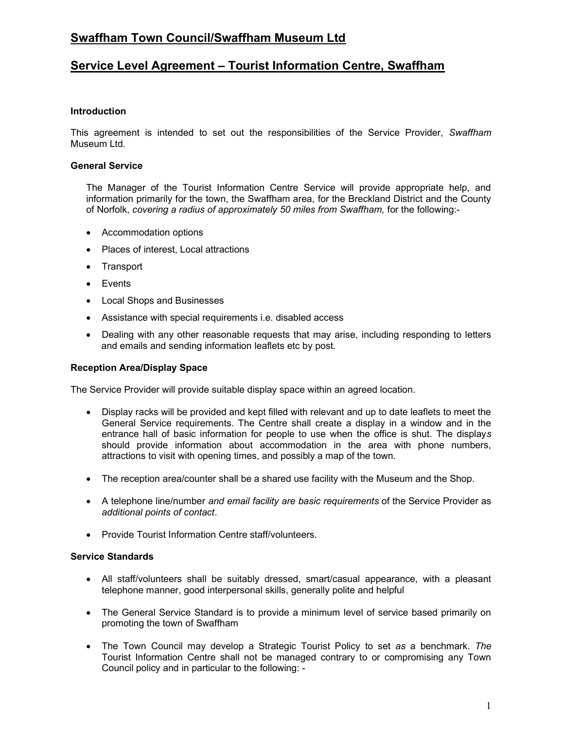# Swaffham Town Council/Swaffham Museum Ltd

# Service Level Agreement – Tourist Information Centre, Swaffham

## **Introduction**

This agreement is intended to set out the responsibilities of the Service Provider, Swaffham Museum Ltd.

## General Service

The Manager of the Tourist Information Centre Service will provide appropriate help, and information primarily for the town, the Swaffham area, for the Breckland District and the County of Norfolk, covering a radius of approximately 50 miles from Swaffham, for the following:-

- Accommodation options
- Places of interest, Local attractions
- Transport
- Events
- Local Shops and Businesses
- Assistance with special requirements i.e. disabled access
- Dealing with any other reasonable requests that may arise, including responding to letters and emails and sending information leaflets etc by post.

### Reception Area/Display Space

The Service Provider will provide suitable display space within an agreed location.

- Display racks will be provided and kept filled with relevant and up to date leaflets to meet the General Service requirements. The Centre shall create a display in a window and in the entrance hall of basic information for people to use when the office is shut. The displays should provide information about accommodation in the area with phone numbers, attractions to visit with opening times, and possibly a map of the town.
- The reception area/counter shall be a shared use facility with the Museum and the Shop.
- A telephone line/number and email facility are basic requirements of the Service Provider as additional points of contact.
- Provide Tourist Information Centre staff/volunteers.

#### Service Standards

- All staff/volunteers shall be suitably dressed, smart/casual appearance, with a pleasant telephone manner, good interpersonal skills, generally polite and helpful
- The General Service Standard is to provide a minimum level of service based primarily on promoting the town of Swaffham
- The Town Council may develop a Strategic Tourist Policy to set as a benchmark. The Tourist Information Centre shall not be managed contrary to or compromising any Town Council policy and in particular to the following: -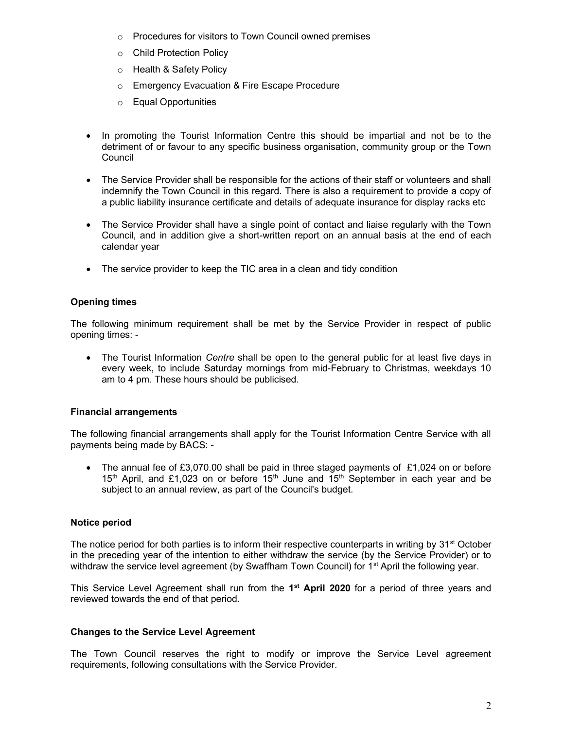- o Procedures for visitors to Town Council owned premises
- o Child Protection Policy
- o Health & Safety Policy
- o Emergency Evacuation & Fire Escape Procedure
- o Equal Opportunities
- In promoting the Tourist Information Centre this should be impartial and not be to the detriment of or favour to any specific business organisation, community group or the Town **Council**
- The Service Provider shall be responsible for the actions of their staff or volunteers and shall indemnify the Town Council in this regard. There is also a requirement to provide a copy of a public liability insurance certificate and details of adequate insurance for display racks etc
- The Service Provider shall have a single point of contact and liaise regularly with the Town Council, and in addition give a short-written report on an annual basis at the end of each calendar year
- The service provider to keep the TIC area in a clean and tidy condition

# Opening times

The following minimum requirement shall be met by the Service Provider in respect of public opening times: -

• The Tourist Information *Centre* shall be open to the general public for at least five days in every week, to include Saturday mornings from mid-February to Christmas, weekdays 10 am to 4 pm. These hours should be publicised.

# Financial arrangements

The following financial arrangements shall apply for the Tourist Information Centre Service with all payments being made by BACS: -

The annual fee of £3,070.00 shall be paid in three staged payments of  $£1,024$  on or before 15<sup>th</sup> April, and £1,023 on or before 15<sup>th</sup> June and  $15<sup>th</sup>$  September in each year and be subject to an annual review, as part of the Council's budget.

# Notice period

The notice period for both parties is to inform their respective counterparts in writing by  $31<sup>st</sup>$  October in the preceding year of the intention to either withdraw the service (by the Service Provider) or to withdraw the service level agreement (by Swaffham Town Council) for 1<sup>st</sup> April the following year.

This Service Level Agreement shall run from the 1<sup>st</sup> April 2020 for a period of three years and reviewed towards the end of that period.

# Changes to the Service Level Agreement

The Town Council reserves the right to modify or improve the Service Level agreement requirements, following consultations with the Service Provider.